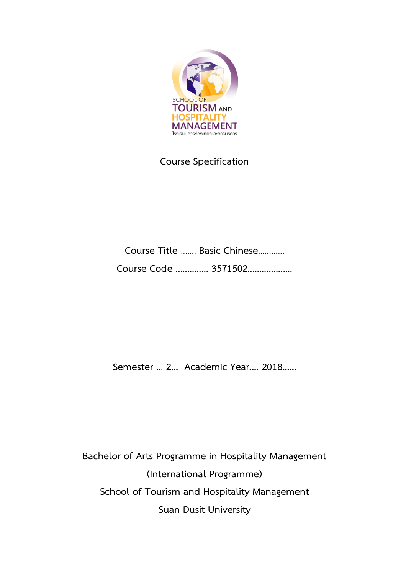

# **Course Specification**

**Course Title** ....... **Basic Chinese**............ **Course Code .............. 3571502...................**

**Semester** ... **2... Academic Year.... 2018......** 

**Bachelor of Arts Programme in Hospitality Management (International Programme) School of Tourism and Hospitality Management Suan Dusit University**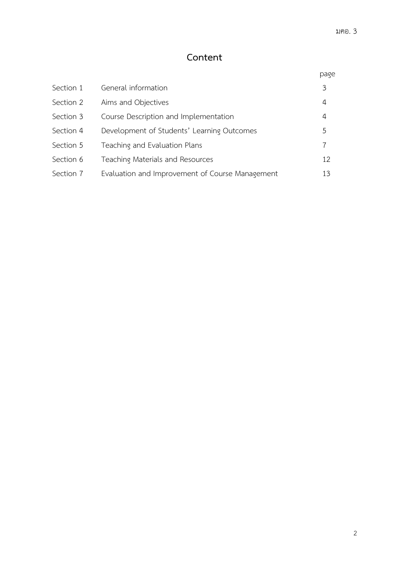# **Content**

|           |                                                 | page |
|-----------|-------------------------------------------------|------|
| Section 1 | General information                             | 3    |
| Section 2 | Aims and Objectives                             | 4    |
| Section 3 | Course Description and Implementation           | 4    |
| Section 4 | Development of Students' Learning Outcomes      | 5    |
| Section 5 | Teaching and Evaluation Plans                   | 7    |
| Section 6 | Teaching Materials and Resources                | 12   |
| Section 7 | Evaluation and Improvement of Course Management | 13   |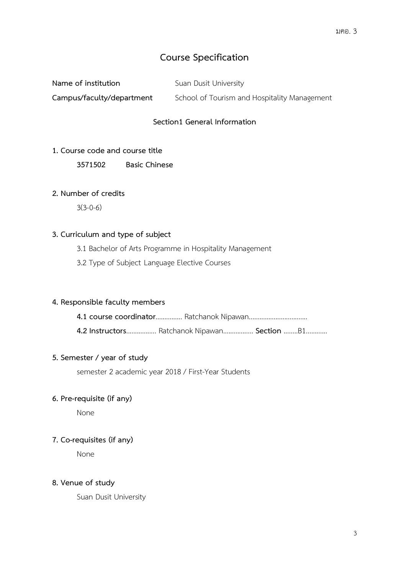# **Course Specification**

**Name of institution** Suan Dusit University

**Campus/faculty/department** School of Tourism and Hospitality Management

# **Section1 General Information**

# **1. Course code and course title**

**3571502 Basic Chinese**

# **2. Number of credits**

3(3-0-6)

# **3. Curriculum and type of subject**

3.1 Bachelor of Arts Programme in Hospitality Management

3.2 Type of Subject Language Elective Courses

# **4. Responsible faculty members**

**4.1 course coordinator**............... Ratchanok Nipawan.................................

**4.2 Instructors**................. Ratchanok Nipawan................. **Section** ........B1............

# **5. Semester / year of study**

semester 2 academic year 2018 / First-Year Students

# **6. Pre-requisite (if any)**

None

# **7. Co-requisites (if any)**

None

# **8. Venue of study**

Suan Dusit University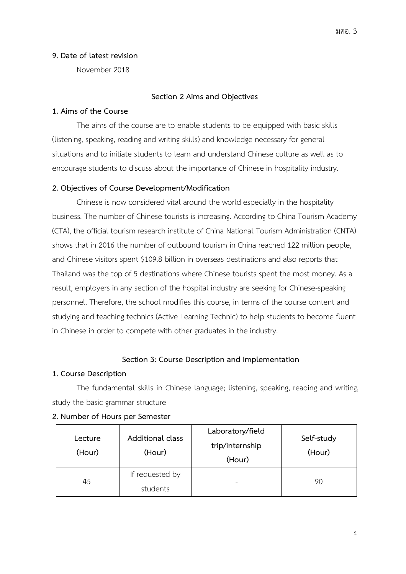#### **9. Date of latest revision**

November 2018

#### **Section 2 Aims and Objectives**

#### **1. Aims of the Course**

The aims of the course are to enable students to be equipped with basic skills (listening, speaking, reading and writing skills) and knowledge necessary for general situations and to initiate students to learn and understand Chinese culture as well as to encourage students to discuss about the importance of Chinese in hospitality industry.

# **2. Objectives of Course Development/Modification**

Chinese is now considered vital around the world especially in the hospitality business. The number of Chinese tourists is increasing. According to China Tourism Academy (CTA), the official tourism research institute of China National Tourism Administration (CNTA) shows that in 2016 the number of outbound tourism in China reached 122 million people, and Chinese visitors spent \$109.8 billion in overseas destinations and also reports that Thailand was the top of 5 destinations where Chinese tourists spent the most money. As a result, employers in any section of the hospital industry are seeking for Chinese-speaking personnel. Therefore, the school modifies this course, in terms of the course content and studying and teaching technics (Active Learning Technic) to help students to become fluent in Chinese in order to compete with other graduates in the industry.

# **Section 3: Course Description and Implementation**

#### **1. Course Description**

The fundamental skills in Chinese language; listening, speaking, reading and writing, study the basic grammar structure

| Lecture<br>(Hour) | Additional class<br>(Hour)  | Laboratory/field<br>trip/internship<br>(Hour) | Self-study<br>(Hour) |
|-------------------|-----------------------------|-----------------------------------------------|----------------------|
| 45                | If requested by<br>students |                                               | 90                   |

#### **2. Number of Hours per Semester**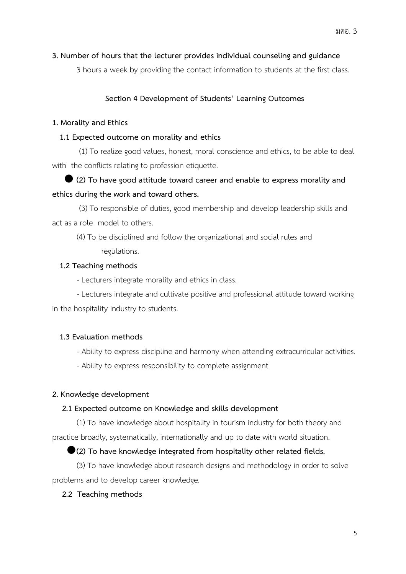### **3. Number of hours that the lecturer provides individual counseling and guidance**

3 hours a week by providing the contact information to students at the first class.

# **Section 4 Development of Students' Learning Outcomes**

#### **1. Morality and Ethics**

#### **1.1 Expected outcome on morality and ethics**

(1) To realize good values, honest, moral conscience and ethics, to be able to deal with the conflicts relating to profession etiquette.

# **(2) To have good attitude toward career and enable to express morality and ethics during the work and toward others.**

(3) To responsible of duties, good membership and develop leadership skills and act as a role model to others.

 (4) To be disciplined and follow the organizational and social rules and regulations.

#### **1.2 Teaching methods**

- Lecturers integrate morality and ethics in class.

- Lecturers integrate and cultivate positive and professional attitude toward working in the hospitality industry to students.

# **1.3 Evaluation methods**

- Ability to express discipline and harmony when attending extracurricular activities.
- Ability to express responsibility to complete assignment

#### **2. Knowledge development**

#### **2.1 Expected outcome on Knowledge and skills development**

(1) To have knowledge about hospitality in tourism industry for both theory and practice broadly, systematically, internationally and up to date with world situation.

# **(2) To have knowledge integrated from hospitality other related fields.**

(3) To have knowledge about research designs and methodology in order to solve problems and to develop career knowledge.

# **2.2 Teaching methods**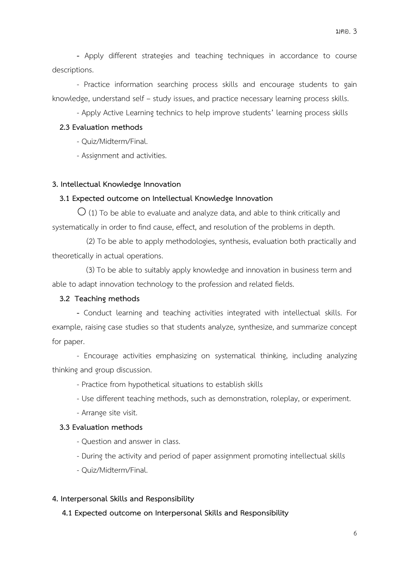**-** Apply different strategies and teaching techniques in accordance to course descriptions.

- Practice information searching process skills and encourage students to gain knowledge, understand self – study issues, and practice necessary learning process skills.

- Apply Active Learning technics to help improve students' learning process skills

### **2.3 Evaluation methods**

- Quiz/Midterm/Final.

- Assignment and activities.

#### **3. Intellectual Knowledge Innovation**

#### **3.1 Expected outcome on Intellectual Knowledge Innovation**

 $\bigcirc$  (1) To be able to evaluate and analyze data, and able to think critically and systematically in order to find cause, effect, and resolution of the problems in depth.

(2) To be able to apply methodologies, synthesis, evaluation both practically and theoretically in actual operations.

 (3) To be able to suitably apply knowledge and innovation in business term and able to adapt innovation technology to the profession and related fields.

# **3.2 Teaching methods**

**-** Conduct learning and teaching activities integrated with intellectual skills. For example, raising case studies so that students analyze, synthesize, and summarize concept for paper.

- Encourage activities emphasizing on systematical thinking, including analyzing thinking and group discussion.

- Practice from hypothetical situations to establish skills

- Use different teaching methods, such as demonstration, roleplay, or experiment.
- Arrange site visit.

#### **3.3 Evaluation methods**

- Question and answer in class.

- During the activity and period of paper assignment promoting intellectual skills

- Quiz/Midterm/Final.

# **4. Interpersonal Skills and Responsibility**

 **4.1 Expected outcome on Interpersonal Skills and Responsibility**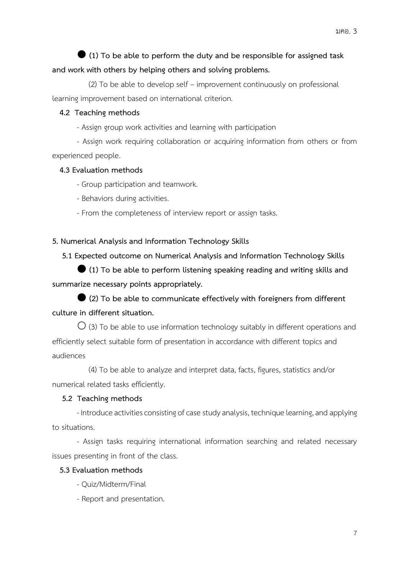# **(1) To be able to perform the duty and be responsible for assigned task and work with others by helping others and solving problems.**

 (2) To be able to develop self – improvement continuously on professional learning improvement based on international criterion.

# **4.2 Teaching methods**

- Assign group work activities and learning with participation

- Assign work requiring collaboration or acquiring information from others or from experienced people.

# **4.3 Evaluation methods**

- Group participation and teamwork.
- Behaviors during activities.
- From the completeness of interview report or assign tasks.

# **5. Numerical Analysis and Information Technology Skills**

 **5.1 Expected outcome on Numerical Analysis and Information Technology Skills**

 **(1) To be able to perform listening speaking reading and writing skills and summarize necessary points appropriately.**

 **(2) To be able to communicate effectively with foreigners from different culture in different situation.**

 $\bigcirc$  (3) To be able to use information technology suitably in different operations and efficiently select suitable form of presentation in accordance with different topics and audiences

 (4) To be able to analyze and interpret data, facts, figures, statistics and/or numerical related tasks efficiently.

# **5.2 Teaching methods**

- Introduce activities consisting of case study analysis, technique learning, and applying to situations.

- Assign tasks requiring international information searching and related necessary issues presenting in front of the class.

# **5.3 Evaluation methods**

- Quiz/Midterm/Final
- Report and presentation.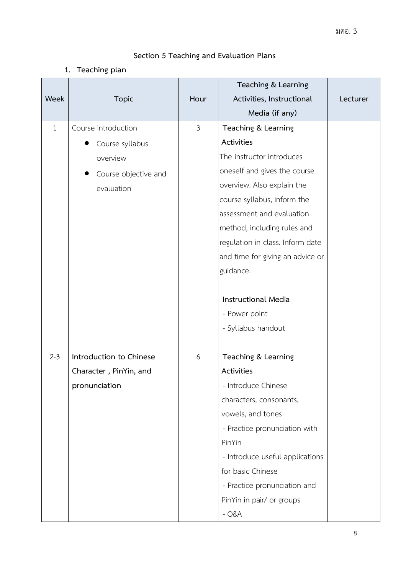# **Section 5 Teaching and Evaluation Plans**

**1. Teaching plan**

|              |                         |                | Teaching & Learning              |          |
|--------------|-------------------------|----------------|----------------------------------|----------|
| Week         | <b>Topic</b>            | Hour           | Activities, Instructional        | Lecturer |
|              |                         |                | Media (if any)                   |          |
| $\mathbf{1}$ | Course introduction     | $\mathfrak{Z}$ | Teaching & Learning              |          |
|              | Course syllabus         |                | Activities                       |          |
|              | overview                |                | The instructor introduces        |          |
|              | Course objective and    |                | oneself and gives the course     |          |
|              | evaluation              |                | overview. Also explain the       |          |
|              |                         |                | course syllabus, inform the      |          |
|              |                         |                | assessment and evaluation        |          |
|              |                         |                | method, including rules and      |          |
|              |                         |                | regulation in class. Inform date |          |
|              |                         |                | and time for giving an advice or |          |
|              |                         |                | guidance.                        |          |
|              |                         |                |                                  |          |
|              |                         |                | <b>Instructional Media</b>       |          |
|              |                         |                | - Power point                    |          |
|              |                         |                | - Syllabus handout               |          |
|              |                         |                |                                  |          |
| $2 - 3$      | Introduction to Chinese | 6              | Teaching & Learning              |          |
|              | Character, PinYin, and  |                | Activities                       |          |
|              | pronunciation           |                | - Introduce Chinese              |          |
|              |                         |                | characters, consonants,          |          |
|              |                         |                | vowels, and tones                |          |
|              |                         |                | - Practice pronunciation with    |          |
|              |                         |                | PinYin                           |          |
|              |                         |                | - Introduce useful applications  |          |
|              |                         |                | for basic Chinese                |          |
|              |                         |                | - Practice pronunciation and     |          |
|              |                         |                | PinYin in pair/ or groups        |          |
|              |                         |                | $-Q&A$                           |          |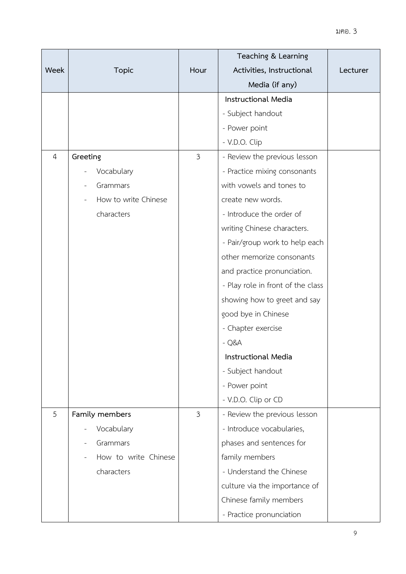|                |                      |                | Teaching & Learning               |          |
|----------------|----------------------|----------------|-----------------------------------|----------|
| Week           | <b>Topic</b>         | Hour           | Activities, Instructional         | Lecturer |
|                |                      |                | Media (if any)                    |          |
|                |                      |                | Instructional Media               |          |
|                |                      |                | - Subject handout                 |          |
|                |                      |                | - Power point                     |          |
|                |                      |                | - V.D.O. Clip                     |          |
| $\overline{4}$ | Greeting             | $\mathfrak{Z}$ | - Review the previous lesson      |          |
|                | Vocabulary           |                | - Practice mixing consonants      |          |
|                | Grammars             |                | with vowels and tones to          |          |
|                | How to write Chinese |                | create new words.                 |          |
|                | characters           |                | - Introduce the order of          |          |
|                |                      |                | writing Chinese characters.       |          |
|                |                      |                | - Pair/group work to help each    |          |
|                |                      |                | other memorize consonants         |          |
|                |                      |                | and practice pronunciation.       |          |
|                |                      |                | - Play role in front of the class |          |
|                |                      |                | showing how to greet and say      |          |
|                |                      |                | good bye in Chinese               |          |
|                |                      |                | - Chapter exercise                |          |
|                |                      |                | $-Q&A$                            |          |
|                |                      |                | <b>Instructional Media</b>        |          |
|                |                      |                | - Subject handout                 |          |
|                |                      |                | - Power point                     |          |
|                |                      |                | - V.D.O. Clip or CD               |          |
| 5              | Family members       | $\mathfrak{Z}$ | - Review the previous lesson      |          |
|                | Vocabulary           |                | - Introduce vocabularies,         |          |
|                | Grammars             |                | phases and sentences for          |          |
|                | How to write Chinese |                | family members                    |          |
|                | characters           |                | - Understand the Chinese          |          |
|                |                      |                | culture via the importance of     |          |
|                |                      |                | Chinese family members            |          |
|                |                      |                | - Practice pronunciation          |          |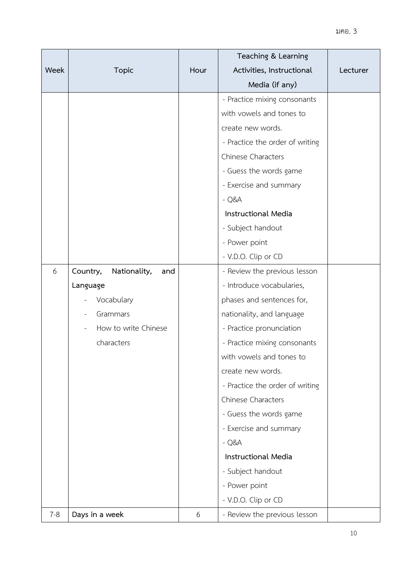|         |                                 |      | Teaching & Learning             |          |
|---------|---------------------------------|------|---------------------------------|----------|
| Week    | <b>Topic</b>                    | Hour | Activities, Instructional       | Lecturer |
|         |                                 |      | Media (if any)                  |          |
|         |                                 |      | - Practice mixing consonants    |          |
|         |                                 |      | with vowels and tones to        |          |
|         |                                 |      | create new words.               |          |
|         |                                 |      | - Practice the order of writing |          |
|         |                                 |      | <b>Chinese Characters</b>       |          |
|         |                                 |      | - Guess the words game          |          |
|         |                                 |      | - Exercise and summary          |          |
|         |                                 |      | $-Q&A$                          |          |
|         |                                 |      | <b>Instructional Media</b>      |          |
|         |                                 |      | - Subject handout               |          |
|         |                                 |      | - Power point                   |          |
|         |                                 |      | - V.D.O. Clip or CD             |          |
| 6       | Country,<br>Nationality,<br>and |      | - Review the previous lesson    |          |
|         | Language                        |      | - Introduce vocabularies,       |          |
|         | Vocabulary                      |      | phases and sentences for,       |          |
|         | Grammars                        |      | nationality, and language       |          |
|         | How to write Chinese            |      | - Practice pronunciation        |          |
|         | characters                      |      | - Practice mixing consonants    |          |
|         |                                 |      | with vowels and tones to        |          |
|         |                                 |      | create new words.               |          |
|         |                                 |      | - Practice the order of writing |          |
|         |                                 |      | <b>Chinese Characters</b>       |          |
|         |                                 |      | - Guess the words game          |          |
|         |                                 |      | - Exercise and summary          |          |
|         |                                 |      | $-Q&A$                          |          |
|         |                                 |      | Instructional Media             |          |
|         |                                 |      | - Subject handout               |          |
|         |                                 |      | - Power point                   |          |
|         |                                 |      | - V.D.O. Clip or CD             |          |
| $7 - 8$ | Days in a week                  | 6    | - Review the previous lesson    |          |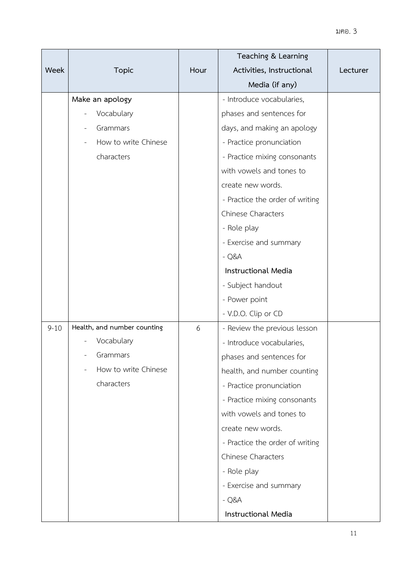|          |                             |      | Teaching & Learning             |          |
|----------|-----------------------------|------|---------------------------------|----------|
| Week     | <b>Topic</b>                | Hour | Activities, Instructional       | Lecturer |
|          |                             |      | Media (if any)                  |          |
|          | Make an apology             |      | - Introduce vocabularies,       |          |
|          | Vocabulary                  |      | phases and sentences for        |          |
|          | Grammars                    |      | days, and making an apology     |          |
|          | How to write Chinese        |      | - Practice pronunciation        |          |
|          | characters                  |      | - Practice mixing consonants    |          |
|          |                             |      | with vowels and tones to        |          |
|          |                             |      | create new words.               |          |
|          |                             |      | - Practice the order of writing |          |
|          |                             |      | Chinese Characters              |          |
|          |                             |      | - Role play                     |          |
|          |                             |      | - Exercise and summary          |          |
|          |                             |      | $-Q&A$                          |          |
|          |                             |      | <b>Instructional Media</b>      |          |
|          |                             |      | - Subject handout               |          |
|          |                             |      | - Power point                   |          |
|          |                             |      | - V.D.O. Clip or CD             |          |
| $9 - 10$ | Health, and number counting | 6    | - Review the previous lesson    |          |
|          | Vocabulary                  |      | - Introduce vocabularies,       |          |
|          | Grammars                    |      | phases and sentences for        |          |
|          | How to write Chinese        |      | health, and number counting     |          |
|          | characters                  |      | - Practice pronunciation        |          |
|          |                             |      | - Practice mixing consonants    |          |
|          |                             |      | with vowels and tones to        |          |
|          |                             |      | create new words.               |          |
|          |                             |      | - Practice the order of writing |          |
|          |                             |      | <b>Chinese Characters</b>       |          |
|          |                             |      | - Role play                     |          |
|          |                             |      | - Exercise and summary          |          |
|          |                             |      | $-Q&A$                          |          |
|          |                             |      | Instructional Media             |          |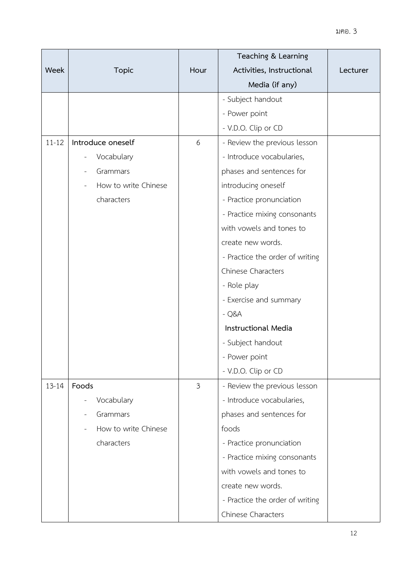|           |                      |                | Teaching & Learning             |          |
|-----------|----------------------|----------------|---------------------------------|----------|
| Week      | <b>Topic</b>         | Hour           | Activities, Instructional       | Lecturer |
|           |                      |                | Media (if any)                  |          |
|           |                      |                | - Subject handout               |          |
|           |                      |                | - Power point                   |          |
|           |                      |                | - V.D.O. Clip or CD             |          |
| $11 - 12$ | Introduce oneself    | 6              | - Review the previous lesson    |          |
|           | Vocabulary           |                | - Introduce vocabularies,       |          |
|           | Grammars             |                | phases and sentences for        |          |
|           | How to write Chinese |                | introducing oneself             |          |
|           | characters           |                | - Practice pronunciation        |          |
|           |                      |                | - Practice mixing consonants    |          |
|           |                      |                | with vowels and tones to        |          |
|           |                      |                | create new words.               |          |
|           |                      |                | - Practice the order of writing |          |
|           |                      |                | Chinese Characters              |          |
|           |                      |                | - Role play                     |          |
|           |                      |                | - Exercise and summary          |          |
|           |                      |                | $-Q&A$                          |          |
|           |                      |                | <b>Instructional Media</b>      |          |
|           |                      |                | - Subject handout               |          |
|           |                      |                | - Power point                   |          |
|           |                      |                | - V.D.O. Clip or CD             |          |
| $13 - 14$ | Foods                | $\mathfrak{Z}$ | - Review the previous lesson    |          |
|           | Vocabulary           |                | - Introduce vocabularies,       |          |
|           | Grammars             |                | phases and sentences for        |          |
|           | How to write Chinese |                | foods                           |          |
|           | characters           |                | - Practice pronunciation        |          |
|           |                      |                | - Practice mixing consonants    |          |
|           |                      |                | with vowels and tones to        |          |
|           |                      |                | create new words.               |          |
|           |                      |                | - Practice the order of writing |          |
|           |                      |                | Chinese Characters              |          |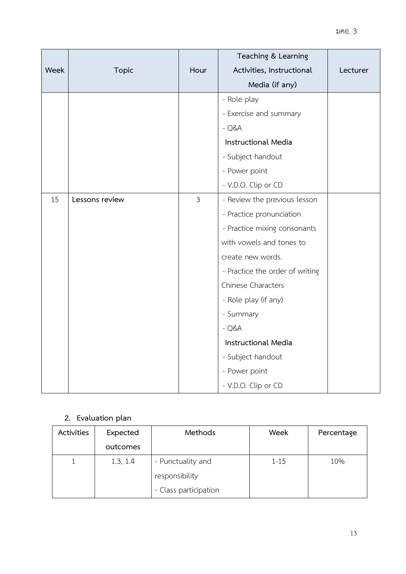|      |                |                | Teaching & Learning             |          |
|------|----------------|----------------|---------------------------------|----------|
| Week | <b>Topic</b>   | Hour           | Activities, Instructional       | Lecturer |
|      |                |                | Media (if any)                  |          |
|      |                |                | - Role play                     |          |
|      |                |                | - Exercise and summary          |          |
|      |                |                | $-Q&A$                          |          |
|      |                |                | <b>Instructional Media</b>      |          |
|      |                |                | - Subject handout               |          |
|      |                |                | - Power point                   |          |
|      |                |                | - V.D.O. Clip or CD             |          |
| 15   | Lessons review | $\mathfrak{Z}$ | - Review the previous lesson    |          |
|      |                |                | - Practice pronunciation        |          |
|      |                |                | - Practice mixing consonants    |          |
|      |                |                | with vowels and tones to        |          |
|      |                |                | create new words.               |          |
|      |                |                | - Practice the order of writing |          |
|      |                |                | Chinese Characters              |          |
|      |                |                | - Role play (if any)            |          |
|      |                |                | - Summary                       |          |
|      |                |                | $-Q&A$                          |          |
|      |                |                | Instructional Media             |          |
|      |                |                | - Subject handout               |          |
|      |                |                | - Power point                   |          |
|      |                |                | - V.D.O. Clip or CD             |          |

# **2. Evaluation plan**

| Activities | Expected | Methods               | Week     | Percentage |
|------------|----------|-----------------------|----------|------------|
|            | outcomes |                       |          |            |
|            | 1.3, 1.4 | - Punctuality and     | $1 - 15$ | 10%        |
|            |          | responsibility        |          |            |
|            |          | - Class participation |          |            |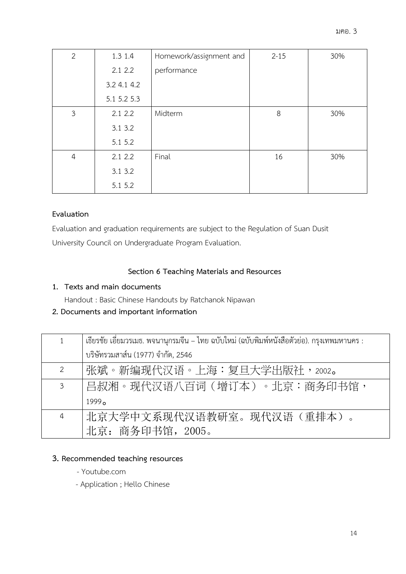| $\overline{2}$ | 1.3 1.4     | Homework/assignment and | $2 - 15$ | 30% |
|----------------|-------------|-------------------------|----------|-----|
|                | 2.12.2      | performance             |          |     |
|                | 3.2 4.1 4.2 |                         |          |     |
|                | 5.1 5.2 5.3 |                         |          |     |
| $\mathfrak{Z}$ | 2.12.2      | Midterm                 | 8        | 30% |
|                | 3.1 3.2     |                         |          |     |
|                | 5.1 5.2     |                         |          |     |
| $\overline{4}$ | 2.12.2      | Final                   | 16       | 30% |
|                | 3.1 3.2     |                         |          |     |
|                | 5.1 5.2     |                         |          |     |

# **Evaluation**

Evaluation and graduation requirements are subject to the Regulation of Suan Dusit University Council on Undergraduate Program Evaluation.

# **Section 6 Teaching Materials and Resources**

# **1. Texts and main documents**

Handout : Basic Chinese Handouts by Ratchanok Nipawan

# **2. Documents and important information**

| 1              | เธียรชัย เอี่ยมวรเมธ. พจนานุกรมจีน – ไทย ฉบับใหม่ (ฉบับพิมพ์หนังสือตัวย่อ). กรุงเทพมหานคร : |
|----------------|---------------------------------------------------------------------------------------------|
|                | บริษัทรวมสาส์น (1977) จำกัด, 2546                                                           |
| $\overline{2}$ | 张斌。新编现代汉语。上海:复旦大学出版社,2002。                                                                  |
| 3 <sup>7</sup> | 吕叔湘。现代汉语八百词(增订本)。北京:商务印书馆,                                                                  |
|                | 1999 <sub>0</sub>                                                                           |
| $\overline{4}$ | 北京大学中文系现代汉语教研室。现代汉语(重排本)。                                                                   |
|                | 北京: 商务印书馆, 2005。                                                                            |

# **3. Recommended teaching resources**

- Youtube.com
- Application ; Hello Chinese